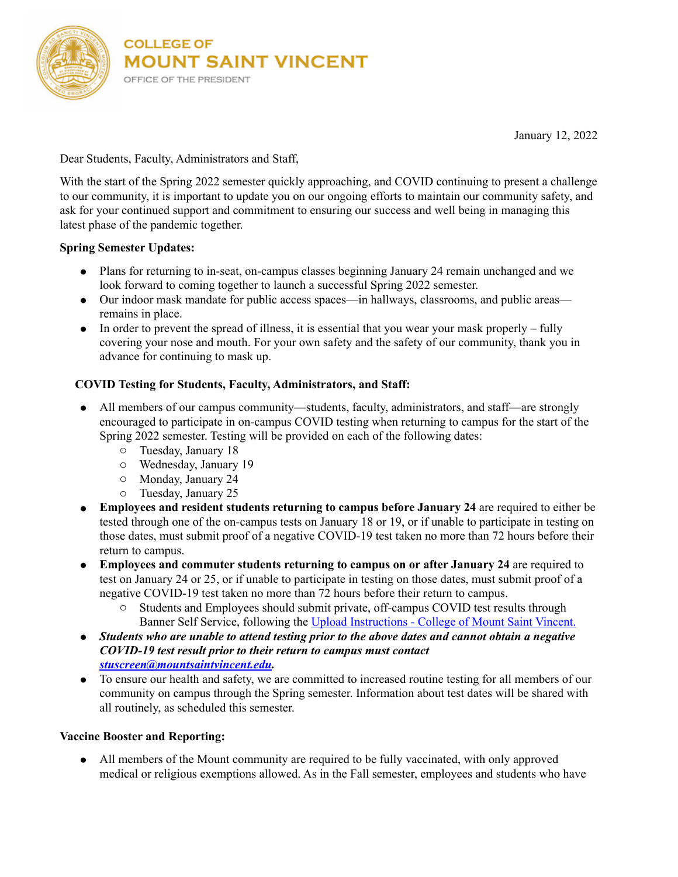

January 12, 2022

Dear Students, Faculty, Administrators and Staff,

With the start of the Spring 2022 semester quickly approaching, and COVID continuing to present a challenge to our community, it is important to update you on our ongoing efforts to maintain our community safety, and ask for your continued support and commitment to ensuring our success and well being in managing this latest phase of the pandemic together.

## **Spring Semester Updates:**

- Plans for returning to in-seat, on-campus classes beginning January 24 remain unchanged and we look forward to coming together to launch a successful Spring 2022 semester.
- Our indoor mask mandate for public access spaces—in hallways, classrooms, and public areas remains in place.
- In order to prevent the spread of illness, it is essential that you wear your mask properly fully covering your nose and mouth. For your own safety and the safety of our community, thank you in advance for continuing to mask up.

## **COVID Testing for Students, Faculty, Administrators, and Staff:**

- All members of our campus community—students, faculty, administrators, and staff—are strongly encouraged to participate in on-campus COVID testing when returning to campus for the start of the Spring 2022 semester. Testing will be provided on each of the following dates:
	- o Tuesday, January 18
	- o Wednesday, January 19
	- o Monday, January 24
	- o Tuesday, January 25
- **Employees and resident students returning to campus before January 24** are required to either be tested through one of the on-campus tests on January 18 or 19, or if unable to participate in testing on those dates, must submit proof of a negative COVID-19 test taken no more than 72 hours before their return to campus.
- **Employees and commuter students returning to campus on or after January 24** are required to test on January 24 or 25, or if unable to participate in testing on those dates, must submit proof of a negative COVID-19 test taken no more than 72 hours before their return to campus.
	- o Students and Employees should submit private, off-campus COVID test results through Banner Self Service, following the [Upload Instructions - College of Mount Saint Vincent.](https://mountsaintvincent.edu/covid-19-resources/information-on-coronavirus-covid-19/covid-19-vaccination-requirements/upload-instructions/)
- *Students who are unable to attend testing prior to the above dates and cannot obtain a negative COVID-19 test result prior to their return to campus must contact [stuscreen@mountsaintvincent.edu.](mailto:stuscreen@mountsaintvincent.edu)*
- To ensure our health and safety, we are committed to increased routine testing for all members of our community on campus through the Spring semester. Information about test dates will be shared with all routinely, as scheduled this semester.

## **Vaccine Booster and Reporting:**

● All members of the Mount community are required to be fully vaccinated, with only approved medical or religious exemptions allowed. As in the Fall semester, employees and students who have